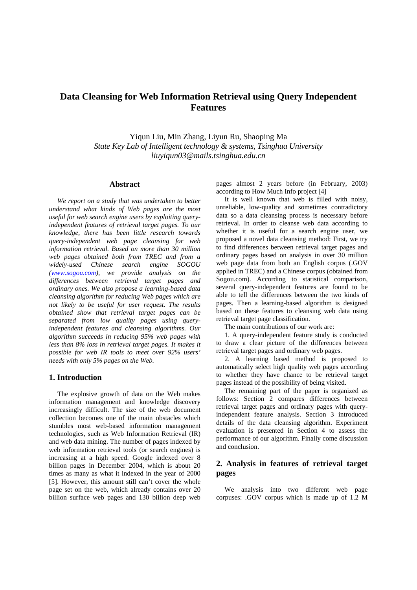# **Data Cleansing for Web Information Retrieval using Query Independent Features**

Yiqun Liu, Min Zhang, Liyun Ru, Shaoping Ma *State Key Lab of Intelligent technology & systems, Tsinghua University liuyiqun03@mails.tsinghua.edu.cn* 

#### **Abstract**

*We report on a study that was undertaken to better understand what kinds of Web pages are the most useful for web search engine users by exploiting queryindependent features of retrieval target pages. To our knowledge, there has been little research towards query-independent web page cleansing for web information retrieval. Based on more than 30 million web pages obtained both from TREC and from a widely-used Chinese search (www.sogou.com), we provide analysis on the differences between retrieval target pages and ordinary ones. We also propose a learning-based data cleansing algorithm for reducing Web pages which are not likely to be useful for user request. The results obtained show that retrieval target pages can be separated from low quality pages using queryindependent features and cleansing algorithms. Our algorithm succeeds in reducing 95% web pages with less than 8% loss in retrieval target pages. It makes it possible for web IR tools to meet over 92% users' needs with only 5% pages on the Web.* 

## **1. Introduction**

The explosive growth of data on the Web makes information management and knowledge discovery increasingly difficult. The size of the web document collection becomes one of the main obstacles which stumbles most web-based information management technologies, such as Web Information Retrieval (IR) and web data mining. The number of pages indexed by web information retrieval tools (or search engines) is increasing at a high speed. Google indexed over 8 billion pages in December 2004, which is about 20 times as many as what it indexed in the year of 2000 [5]. However, this amount still can't cover the whole page set on the web, which already contains over 20 billion surface web pages and 130 billion deep web

pages almost 2 years before (in February, 2003) according to How Much Info project [4]

It is well known that web is filled with noisy, unreliable, low-quality and sometimes contradictory data so a data cleansing process is necessary before retrieval. In order to cleanse web data according to whether it is useful for a search engine user, we proposed a novel data cleansing method: First, we try to find differences between retrieval target pages and ordinary pages based on analysis in over 30 million web page data from both an English corpus (.GOV applied in TREC) and a Chinese corpus (obtained from Sogou.com). According to statistical comparison, several query-independent features are found to be able to tell the differences between the two kinds of pages. Then a learning-based algorithm is designed based on these features to cleansing web data using retrieval target page classification.

The main contributions of our work are:

1. A query-independent feature study is conducted to draw a clear picture of the differences between retrieval target pages and ordinary web pages.

2. A learning based method is proposed to automatically select high quality web pages according to whether they have chance to be retrieval target pages instead of the possibility of being visited.

The remaining part of the paper is organized as follows: Section 2 compares differences between retrieval target pages and ordinary pages with queryindependent feature analysis. Section 3 introduced details of the data cleansing algorithm. Experiment evaluation is presented in Section 4 to assess the performance of our algorithm. Finally come discussion and conclusion.

# **2. Analysis in features of retrieval target pages**

We analysis into two different web page corpuses: .GOV corpus which is made up of 1.2 M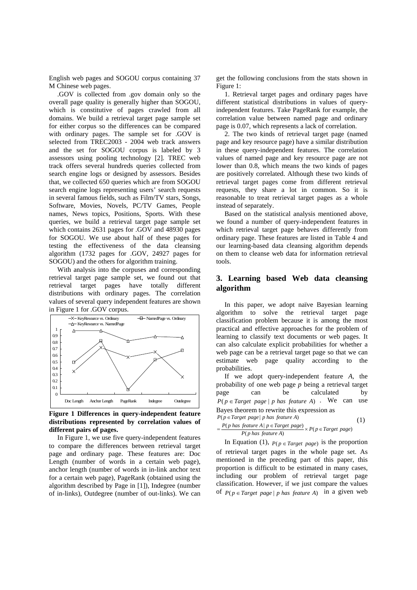English web pages and SOGOU corpus containing 37 M Chinese web pages.

.GOV is collected from .gov domain only so the overall page quality is generally higher than SOGOU, which is constitutive of pages crawled from all domains. We build a retrieval target page sample set for either corpus so the differences can be compared with ordinary pages. The sample set for .GOV is selected from TREC2003 - 2004 web track answers and the set for SOGOU corpus is labeled by 3 assessors using pooling technology [2]. TREC web track offers several hundreds queries collected from search engine logs or designed by assessors. Besides that, we collected 650 queries which are from SOGOU search engine logs representing users' search requests in several famous fields, such as Film/TV stars, Songs, Software, Movies, Novels, PC/TV Games, People names, News topics, Positions, Sports. With these queries, we build a retrieval target page sample set which contains 2631 pages for .GOV and 48930 pages for SOGOU. We use about half of these pages for testing the effectiveness of the data cleansing algorithm (1732 pages for .GOV, 24927 pages for SOGOU) and the others for algorithm training.

With analysis into the corpuses and corresponding retrieval target page sample set, we found out that retrieval target pages have totally different distributions with ordinary pages. The correlation values of several query independent features are shown in Figure 1 for .GOV corpus.



**Figure 1 Differences in query-independent feature distributions represented by correlation values of different pairs of pages.** 

In Figure 1, we use five query-independent features to compare the differences between retrieval target page and ordinary page. These features are: Doc Length (number of words in a certain web page), anchor length (number of words in in-link anchor text for a certain web page), PageRank (obtained using the algorithm described by Page in [1]), Indegree (number of in-links), Outdegree (number of out-links). We can

get the following conclusions from the stats shown in Figure 1:

1. Retrieval target pages and ordinary pages have different statistical distributions in values of queryindependent features. Take PageRank for example, the correlation value between named page and ordinary page is 0.07, which represents a lack of correlation.

2. The two kinds of retrieval target page (named page and key resource page) have a similar distribution in these query-independent features. The correlation values of named page and key resource page are not lower than 0.8, which means the two kinds of pages are positively correlated. Although these two kinds of retrieval target pages come from different retrieval requests, they share a lot in common. So it is reasonable to treat retrieval target pages as a whole instead of separately.

Based on the statistical analysis mentioned above, we found a number of query-independent features in which retrieval target page behaves differently from ordinary page. These features are listed in Table 4 and our learning-based data cleansing algorithm depends on them to cleanse web data for information retrieval tools.

## **3. Learning based Web data cleansing algorithm**

In this paper, we adopt naïve Bayesian learning algorithm to solve the retrieval target page classification problem because it is among the most practical and effective approaches for the problem of learning to classify text documents or web pages. It can also calculate explicit probabilities for whether a web page can be a retrieval target page so that we can estimate web page quality according to the probabilities.

If we adopt query-independent feature *A*, the probability of one web page *p* being a retrieval target page can be calculated by  $P(p \in Target \ page \mid p \ has \ feature \ A)$ . We can use Bayes theorem to rewrite this expression as

$$
P(p \in Target \ page \mid p \ has \ feature \ A)
$$
\n
$$
= \frac{P(p \ has \ feature \ A \mid p \in Target \ page)}{P(p \ has \ feature \ A)} \times P(p \in Target \ page)
$$
\n
$$
(1)
$$

In Equation (1),  $P(p \in Target \ page)$  is the proportion of retrieval target pages in the whole page set. As mentioned in the preceding part of this paper, this proportion is difficult to be estimated in many cases, including our problem of retrieval target page classification. However, if we just compare the values of  $P(p \in Target \ page | p \text{ has feature } A)$  in a given web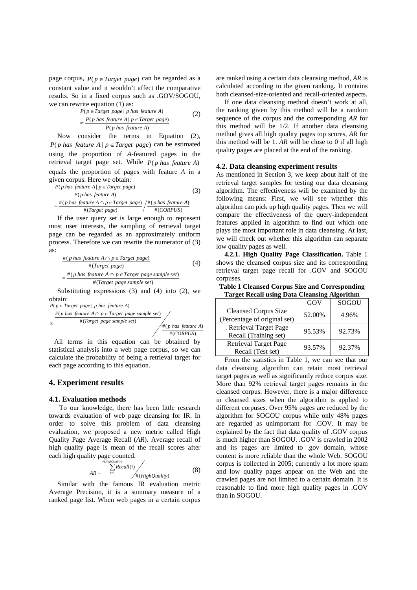page corpus,  $P(p \in Target \ page)$  can be regarded as a constant value and it wouldn't affect the comparative results. So in a fixed corpus such as .GOV/SOGOU, we can rewrite equation (1) as:

$$
P(p \in Target \ page \mid p \ has \ feature \ A)
$$
  
\n
$$
\propto \frac{P(p \ has \ feature \ A \mid p \in Target \ page)}{P(p \ has \ feature \ A)}
$$
 (2)

Now consider the terms in Equation (2), *P*( $p$  *has feature*  $A | p \in Target$  *page*) can be estimated using the proportion of *A*-featured pages in the retrieval target page set. While  $P(p \text{ has feature } A)$ equals the proportion of pages with feature *A* in a given corpus. Here we obtain:

$$
\frac{P(p \text{ has feature A} | p \in Target \text{ page})}{P(p \text{ has feature A})}
$$
(3)  
=  $\frac{\#(p \text{ has feature A} \cap p \in Target \text{ page})}{\#(Target \text{ page})} / \frac{\#(p \text{ has feature A})}{\#(CORPUS)}$ 

If the user query set is large enough to represent most user interests, the sampling of retrieval target page can be regarded as an approximately uniform process. Therefore we can rewrite the numerator of (3) as:

$$
\frac{\#(p \text{ has feature } A \cap p \in Target \text{ page})}{\#(Target \text{ page})}
$$
\n
$$
= \frac{\#(p \text{ has feature } A \cap p \in Target \text{ page sample set})}{\#(Target \text{ page sample set})}
$$
\n
$$
(4)
$$

Substituting expressions (3) and (4) into (2), we obtain:

 $P(p \in Target \ page \mid p \ has \ feature \ A)$ 

$$
\frac{\text{#(p has feature } A \cap p \in Target \ page \ sample \ set)}{\text{#(Target page sample set)}} \times \frac{\text{#(p has feature } A)}{\text{#(CORPUS)}}
$$

 All terms in this equation can be obtained by statistical analysis into a web page corpus, so we can calculate the probability of being a retrieval target for each page according to this equation.

## **4. Experiment results**

#### **4.1. Evaluation methods**

To our knowledge, there has been little research towards evaluation of web page cleansing for IR. In order to solve this problem of data cleansing evaluation, we proposed a new metric called High Quality Page Average Recall (*AR*). Average recall of high quality page is mean of the recall scores after each high quality page counted.

$$
AR = \frac{\sum_{i=1}^{a(HiebQuality)} Recall(i)}{A(Ri)} \qquad (8)
$$

Similar with the famous IR evaluation metric Average Precision, it is a summary measure of a ranked page list. When web pages in a certain corpus are ranked using a certain data cleansing method, *AR* is calculated according to the given ranking. It contains both cleansed-size-oriented and recall-oriented aspects.

If one data cleansing method doesn't work at all, the ranking given by this method will be a random sequence of the corpus and the corresponding *AR* for this method will be 1/2. If another data cleansing method gives all high quality pages top scores, *AR* for this method will be 1. *AR* will be close to 0 if all high quality pages are placed at the end of the ranking.

#### **4.2. Data cleansing experiment results**

As mentioned in Section 3, we keep about half of the retrieval target samples for testing our data cleansing algorithm. The effectiveness will be examined by the following means: First, we will see whether this algorithm can pick up high quality pages. Then we will compare the effectiveness of the query-independent features applied in algorithm to find out which one plays the most important role in data cleansing. At last, we will check out whether this algorithm can separate low quality pages as well.

**4.2.1. High Quality Page Classification.** Table 1 shows the cleansed corpus size and its corresponding retrieval target page recall for .GOV and SOGOU corpuses.

**Table 1 Cleansed Corpus Size and Corresponding Target Recall using Data Cleansing Algorithm** 

|                              | GOV    | SOGOU  |
|------------------------------|--------|--------|
| <b>Cleansed Corpus Size</b>  | 52.00% | 4.96%  |
| (Percentage of original set) |        |        |
| . Retrieval Target Page      | 95.53% | 92.73% |
| Recall (Training set)        |        |        |
| <b>Retrieval Target Page</b> | 93.57% | 92.37% |
| Recall (Test set)            |        |        |

From the statistics in Table 1, we can see that our data cleansing algorithm can retain most retrieval target pages as well as significantly reduce corpus size. More than 92% retrieval target pages remains in the cleansed corpus. However, there is a major difference in cleansed sizes when the algorithm is applied to different corpuses. Over 95% pages are reduced by the algorithm for SOGOU corpus while only 48% pages are regarded as unimportant for .GOV. It may be explained by the fact that data quality of .GOV corpus is much higher than SOGOU. .GOV is crawled in 2002 and its pages are limited to .gov domain, whose content is more reliable than the whole Web. SOGOU corpus is collected in 2005; currently a lot more spam and low quality pages appear on the Web and the crawled pages are not limited to a certain domain. It is reasonable to find more high quality pages in .GOV than in SOGOU.